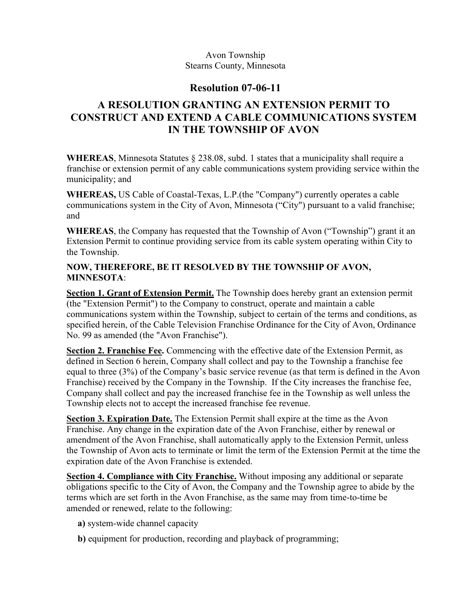#### Avon Township Stearns County, Minnesota

## **Resolution 07-06-11**

# **A RESOLUTION GRANTING AN EXTENSION PERMIT TO CONSTRUCT AND EXTEND A CABLE COMMUNICATIONS SYSTEM IN THE TOWNSHIP OF AVON**

**WHEREAS**, Minnesota Statutes § 238.08, subd. 1 states that a municipality shall require a franchise or extension permit of any cable communications system providing service within the municipality; and

**WHEREAS,** US Cable of Coastal-Texas, L.P.(the "Company") currently operates a cable communications system in the City of Avon, Minnesota ("City") pursuant to a valid franchise; and

**WHEREAS**, the Company has requested that the Township of Avon ("Township") grant it an Extension Permit to continue providing service from its cable system operating within City to the Township.

### **NOW, THEREFORE, BE IT RESOLVED BY THE TOWNSHIP OF AVON, MINNESOTA**:

**Section 1. Grant of Extension Permit.** The Township does hereby grant an extension permit (the "Extension Permit") to the Company to construct, operate and maintain a cable communications system within the Township, subject to certain of the terms and conditions, as specified herein, of the Cable Television Franchise Ordinance for the City of Avon, Ordinance No. 99 as amended (the "Avon Franchise").

**Section 2. Franchise Fee.** Commencing with the effective date of the Extension Permit, as defined in Section 6 herein, Company shall collect and pay to the Township a franchise fee equal to three (3%) of the Company's basic service revenue (as that term is defined in the Avon Franchise) received by the Company in the Township. If the City increases the franchise fee, Company shall collect and pay the increased franchise fee in the Township as well unless the Township elects not to accept the increased franchise fee revenue.

**Section 3. Expiration Date.** The Extension Permit shall expire at the time as the Avon Franchise. Any change in the expiration date of the Avon Franchise, either by renewal or amendment of the Avon Franchise, shall automatically apply to the Extension Permit, unless the Township of Avon acts to terminate or limit the term of the Extension Permit at the time the expiration date of the Avon Franchise is extended.

**Section 4. Compliance with City Franchise.** Without imposing any additional or separate obligations specific to the City of Avon, the Company and the Township agree to abide by the terms which are set forth in the Avon Franchise, as the same may from time-to-time be amended or renewed, relate to the following:

- **a)** system-wide channel capacity
- **b)** equipment for production, recording and playback of programming;